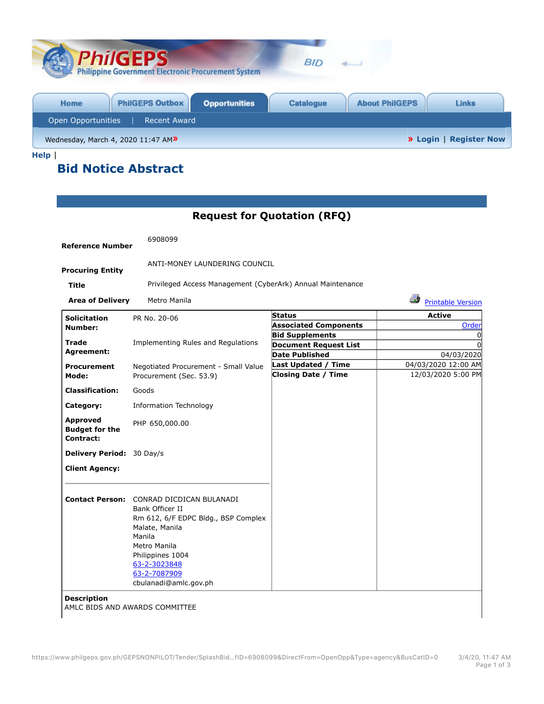| <b>PhilGEPS</b><br><b>Philippine Government Electronic Procurement System</b> | <b>BID</b>                                                |
|-------------------------------------------------------------------------------|-----------------------------------------------------------|
| <b>PhilGEPS Outbox</b><br><b>Opportunities</b><br>Home                        | <b>Catalogue</b><br><b>About PhilGEPS</b><br><b>Links</b> |
| Open Opportunities<br><b>Recent Award</b>                                     |                                                           |
| Wednesday, March 4, 2020 11:47 AM»                                            | <b>» Login</b>   Register Now                             |

**Help** |

## **Bid Notice Abstract**

## **Request for Quotation (RFQ)**

| <b>Reference Number</b>                               | 6908099                                                                                                                                                                                                                            |                                                            |                                |  |
|-------------------------------------------------------|------------------------------------------------------------------------------------------------------------------------------------------------------------------------------------------------------------------------------------|------------------------------------------------------------|--------------------------------|--|
| <b>Procuring Entity</b>                               | ANTI-MONEY LAUNDERING COUNCIL                                                                                                                                                                                                      |                                                            |                                |  |
| Title                                                 |                                                                                                                                                                                                                                    | Privileged Access Management (CyberArk) Annual Maintenance |                                |  |
| <b>Area of Delivery</b>                               | Metro Manila                                                                                                                                                                                                                       |                                                            | Æ,<br><b>Printable Version</b> |  |
| <b>Solicitation</b>                                   | PR No. 20-06                                                                                                                                                                                                                       | Status                                                     | <b>Active</b>                  |  |
| Number:                                               |                                                                                                                                                                                                                                    | <b>Associated Components</b>                               | Order                          |  |
|                                                       |                                                                                                                                                                                                                                    | <b>Bid Supplements</b>                                     | 0                              |  |
| Trade<br>Agreement:                                   | Implementing Rules and Regulations                                                                                                                                                                                                 | <b>Document Request List</b>                               | $\Omega$                       |  |
|                                                       |                                                                                                                                                                                                                                    | <b>Date Published</b>                                      | 04/03/2020                     |  |
| <b>Procurement</b>                                    | Negotiated Procurement - Small Value<br>Procurement (Sec. 53.9)                                                                                                                                                                    | <b>Last Updated / Time</b>                                 | 04/03/2020 12:00 AM            |  |
| Mode:                                                 |                                                                                                                                                                                                                                    | <b>Closing Date / Time</b>                                 | 12/03/2020 5:00 PM             |  |
| <b>Classification:</b>                                | Goods                                                                                                                                                                                                                              |                                                            |                                |  |
| Category:                                             | <b>Information Technology</b>                                                                                                                                                                                                      |                                                            |                                |  |
| <b>Approved</b><br><b>Budget for the</b><br>Contract: | PHP 650,000.00                                                                                                                                                                                                                     |                                                            |                                |  |
| Delivery Period: 30 Day/s                             |                                                                                                                                                                                                                                    |                                                            |                                |  |
| <b>Client Agency:</b>                                 |                                                                                                                                                                                                                                    |                                                            |                                |  |
|                                                       | <b>Contact Person: CONRAD DICDICAN BULANADI</b><br>Bank Officer II<br>Rm 612, 6/F EDPC Bldg., BSP Complex<br>Malate, Manila<br>Manila<br>Metro Manila<br>Philippines 1004<br>63-2-3023848<br>63-2-7087909<br>cbulanadi@amlc.gov.ph |                                                            |                                |  |
| <b>Description</b>                                    | AMLC BIDS AND AWARDS COMMITTEE                                                                                                                                                                                                     |                                                            |                                |  |